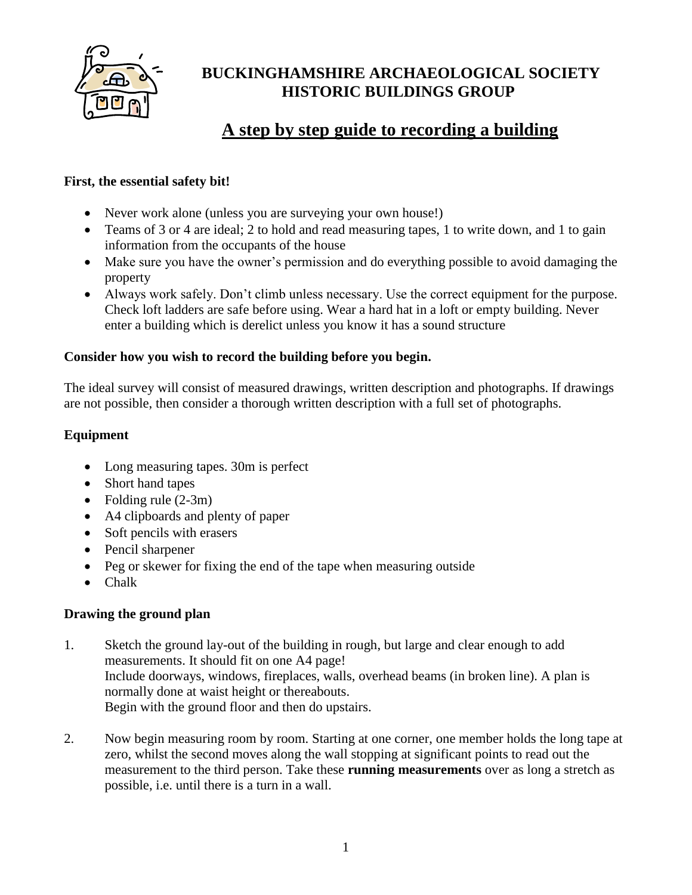

## **BUCKINGHAMSHIRE ARCHAEOLOGICAL SOCIETY HISTORIC BUILDINGS GROUP**

# **A step by step guide to recording a building**

## **First, the essential safety bit!**

- Never work alone (unless you are surveying your own house!)
- Teams of 3 or 4 are ideal; 2 to hold and read measuring tapes, 1 to write down, and 1 to gain information from the occupants of the house
- Make sure you have the owner's permission and do everything possible to avoid damaging the property
- Always work safely. Don't climb unless necessary. Use the correct equipment for the purpose. Check loft ladders are safe before using. Wear a hard hat in a loft or empty building. Never enter a building which is derelict unless you know it has a sound structure

## **Consider how you wish to record the building before you begin.**

The ideal survey will consist of measured drawings, written description and photographs. If drawings are not possible, then consider a thorough written description with a full set of photographs.

## **Equipment**

- Long measuring tapes. 30m is perfect
- Short hand tapes
- Folding rule  $(2-3m)$
- A4 clipboards and plenty of paper
- Soft pencils with erasers
- Pencil sharpener
- Peg or skewer for fixing the end of the tape when measuring outside
- Chalk

## **Drawing the ground plan**

- 1. Sketch the ground lay-out of the building in rough, but large and clear enough to add measurements. It should fit on one A4 page! Include doorways, windows, fireplaces, walls, overhead beams (in broken line). A plan is normally done at waist height or thereabouts. Begin with the ground floor and then do upstairs.
- 2. Now begin measuring room by room. Starting at one corner, one member holds the long tape at zero, whilst the second moves along the wall stopping at significant points to read out the measurement to the third person. Take these **running measurements** over as long a stretch as possible, i.e. until there is a turn in a wall.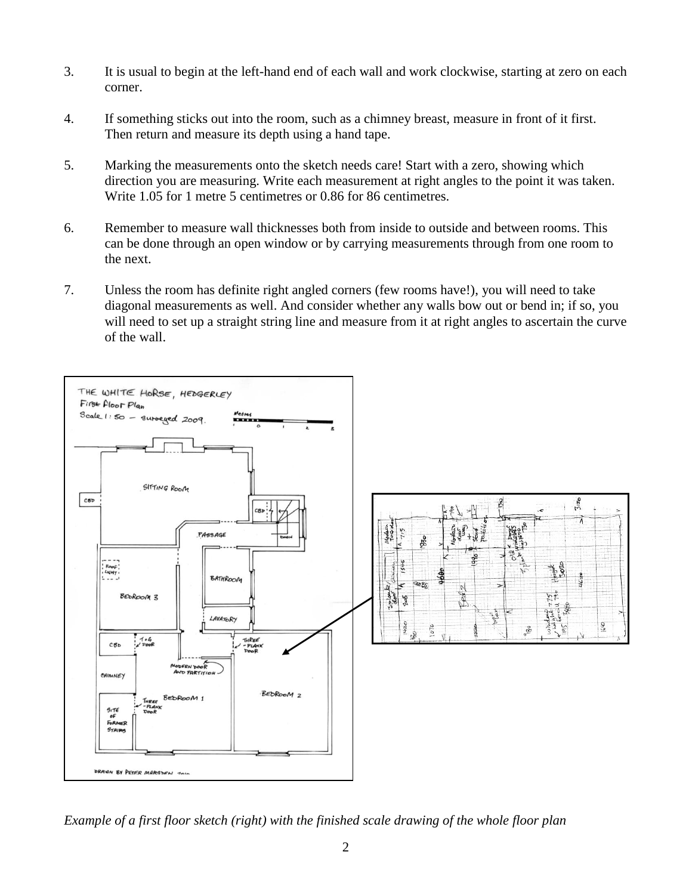- 3. It is usual to begin at the left-hand end of each wall and work clockwise, starting at zero on each corner.
- 4. If something sticks out into the room, such as a chimney breast, measure in front of it first. Then return and measure its depth using a hand tape.
- 5. Marking the measurements onto the sketch needs care! Start with a zero, showing which direction you are measuring. Write each measurement at right angles to the point it was taken. Write 1.05 for 1 metre 5 centimetres or 0.86 for 86 centimetres.
- 6. Remember to measure wall thicknesses both from inside to outside and between rooms. This can be done through an open window or by carrying measurements through from one room to the next.
- 7. Unless the room has definite right angled corners (few rooms have!), you will need to take diagonal measurements as well. And consider whether any walls bow out or bend in; if so, you will need to set up a straight string line and measure from it at right angles to ascertain the curve of the wall.



*Example of a first floor sketch (right) with the finished scale drawing of the whole floor plan*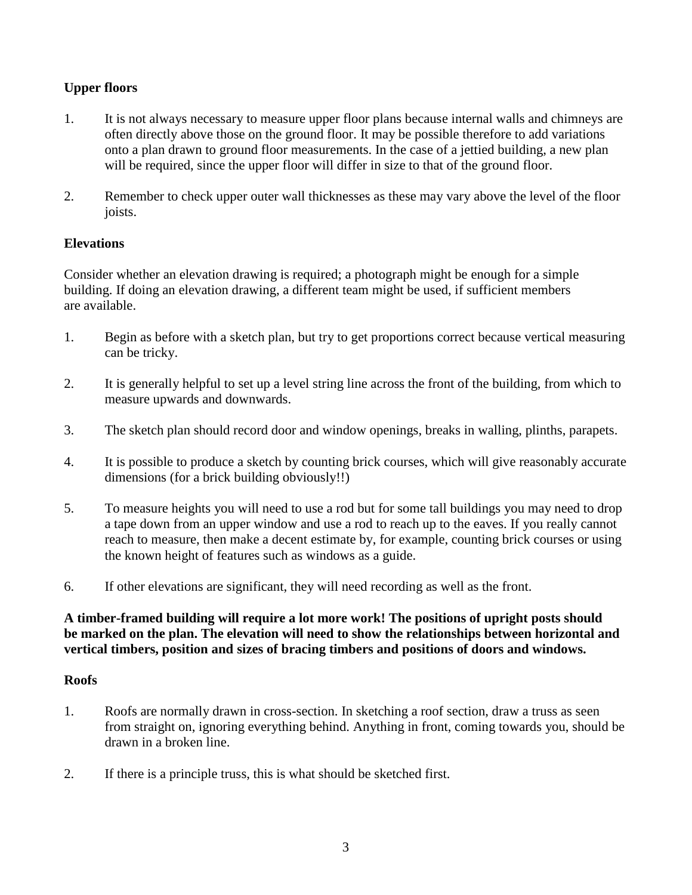## **Upper floors**

- 1. It is not always necessary to measure upper floor plans because internal walls and chimneys are often directly above those on the ground floor. It may be possible therefore to add variations onto a plan drawn to ground floor measurements. In the case of a jettied building, a new plan will be required, since the upper floor will differ in size to that of the ground floor.
- 2. Remember to check upper outer wall thicknesses as these may vary above the level of the floor joists.

## **Elevations**

Consider whether an elevation drawing is required; a photograph might be enough for a simple building. If doing an elevation drawing, a different team might be used, if sufficient members are available.

- 1. Begin as before with a sketch plan, but try to get proportions correct because vertical measuring can be tricky.
- 2. It is generally helpful to set up a level string line across the front of the building, from which to measure upwards and downwards.
- 3. The sketch plan should record door and window openings, breaks in walling, plinths, parapets.
- 4. It is possible to produce a sketch by counting brick courses, which will give reasonably accurate dimensions (for a brick building obviously!!)
- 5. To measure heights you will need to use a rod but for some tall buildings you may need to drop a tape down from an upper window and use a rod to reach up to the eaves. If you really cannot reach to measure, then make a decent estimate by, for example, counting brick courses or using the known height of features such as windows as a guide.
- 6. If other elevations are significant, they will need recording as well as the front.

## **A timber-framed building will require a lot more work! The positions of upright posts should be marked on the plan. The elevation will need to show the relationships between horizontal and vertical timbers, position and sizes of bracing timbers and positions of doors and windows.**

## **Roofs**

- 1. Roofs are normally drawn in cross-section. In sketching a roof section, draw a truss as seen from straight on, ignoring everything behind. Anything in front, coming towards you, should be drawn in a broken line.
- 2. If there is a principle truss, this is what should be sketched first.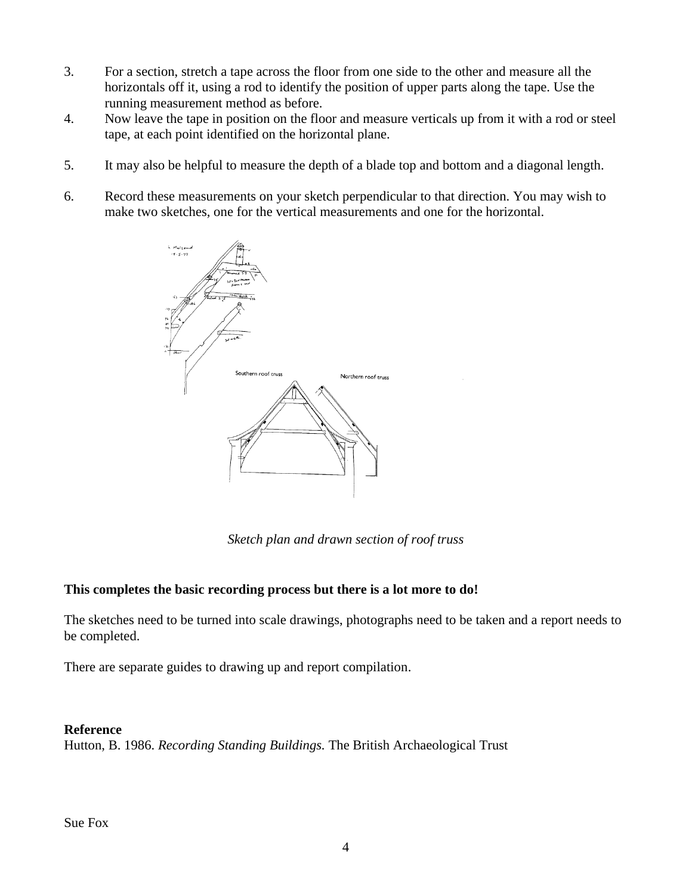- 3. For a section, stretch a tape across the floor from one side to the other and measure all the horizontals off it, using a rod to identify the position of upper parts along the tape. Use the running measurement method as before.
- 4. Now leave the tape in position on the floor and measure verticals up from it with a rod or steel tape, at each point identified on the horizontal plane.
- 5. It may also be helpful to measure the depth of a blade top and bottom and a diagonal length.
- 6. Record these measurements on your sketch perpendicular to that direction. You may wish to make two sketches, one for the vertical measurements and one for the horizontal.



*Sketch plan and drawn section of roof truss*

### **This completes the basic recording process but there is a lot more to do!**

The sketches need to be turned into scale drawings, photographs need to be taken and a report needs to be completed.

There are separate guides to drawing up and report compilation.

#### **Reference**

Hutton, B. 1986. *Recording Standing Buildings.* The British Archaeological Trust